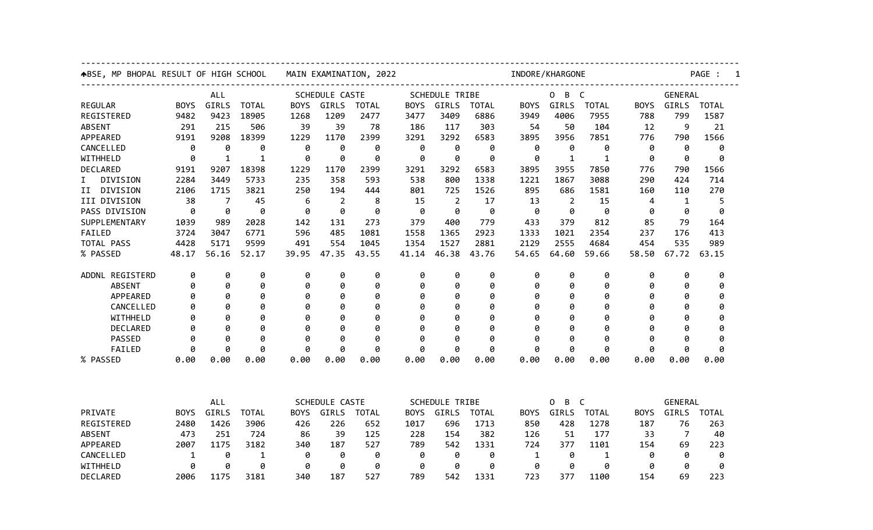| ABSE, MP BHOPAL RESULT OF HIGH SCHOOL |             |              |              | MAIN EXAMINATION, 2022                                        |                |              |                                                               |                       | INDORE/KHARGONE                                      |             |                |              |                                      | PAGE :<br>1    |              |  |  |
|---------------------------------------|-------------|--------------|--------------|---------------------------------------------------------------|----------------|--------------|---------------------------------------------------------------|-----------------------|------------------------------------------------------|-------------|----------------|--------------|--------------------------------------|----------------|--------------|--|--|
|                                       | ALL         |              |              | SCHEDULE CASTE                                                |                |              |                                                               | <b>SCHEDULE TRIBE</b> |                                                      |             | B<br>C<br>0    |              |                                      | <b>GENERAL</b> |              |  |  |
| <b>REGULAR</b>                        | <b>BOYS</b> | GIRLS        | <b>TOTAL</b> | <b>BOYS</b>                                                   | GIRLS          | <b>TOTAL</b> | <b>BOYS</b>                                                   | GIRLS                 | <b>TOTAL</b>                                         | <b>BOYS</b> | GIRLS          | <b>TOTAL</b> | <b>BOYS</b>                          | GIRLS          | <b>TOTAL</b> |  |  |
| REGISTERED                            | 9482        | 9423         | 18905        | 1268                                                          | 1209           | 2477         | 3477                                                          | 3409                  | 6886                                                 | 3949        | 4006           | 7955         | 788                                  | 799            | 1587         |  |  |
| <b>ABSENT</b>                         | 291         | 215          | 506          | 39                                                            | 39             | 78           | 186                                                           | 117                   | 303                                                  | 54          | 50             | 104          | 12                                   | 9              | 21           |  |  |
| APPEARED                              | 9191        | 9208         | 18399        | 1229                                                          | 1170           | 2399         | 3291                                                          | 3292                  | 6583                                                 | 3895        | 3956           | 7851         | 776                                  | 790            | 1566         |  |  |
| CANCELLED                             | 0           | 0            | 0            | 0                                                             | 0              | 0            | 0                                                             | 0                     | 0                                                    | 0           | 0              | 0            | 0                                    | 0              | 0            |  |  |
| WITHHELD                              | 0           | $\mathbf{1}$ | $\mathbf{1}$ | 0                                                             | 0              | 0            | 0                                                             | 0                     | 0                                                    | 0           | 1              | 1            | 0                                    | 0              | 0            |  |  |
| DECLARED                              | 9191        | 9207         | 18398        | 1229                                                          | 1170           | 2399         | 3291                                                          | 3292                  | 6583                                                 | 3895        | 3955           | 7850         | 776                                  | 790            | 1566         |  |  |
| DIVISION<br>I.                        | 2284        | 3449         | 5733         | 235                                                           | 358            | 593          | 538                                                           | 800                   | 1338                                                 | 1221        | 1867           | 3088         | 290                                  | 424            | 714          |  |  |
| II DIVISION                           | 2106        | 1715         | 3821         | 250                                                           | 194            | 444          | 801                                                           | 725                   | 1526                                                 | 895         | 686            | 1581         | 160                                  | 110            | 270          |  |  |
| III DIVISION                          | 38          | 7            | 45           | 6                                                             | $\overline{2}$ | 8            | 15                                                            | $\overline{2}$        | 17                                                   | 13          | $\overline{2}$ | 15           | 4                                    | $\mathbf{1}$   | 5            |  |  |
| PASS DIVISION                         | 0           | 0            | 0            | 0                                                             | 0              | 0            | 0                                                             | 0                     | 0                                                    | 0           | 0              | 0            | 0                                    | 0              | 0            |  |  |
| SUPPLEMENTARY                         | 1039        | 989          | 2028         | 142                                                           | 131            | 273          | 379                                                           | 400                   | 779                                                  | 433         | 379            | 812          | 85                                   | 79             | 164          |  |  |
| FAILED                                | 3724        | 3047         | 6771         | 596                                                           | 485            | 1081         | 1558                                                          | 1365                  | 2923                                                 | 1333        | 1021           | 2354         | 237                                  | 176            | 413          |  |  |
| TOTAL PASS                            | 4428        | 5171         | 9599         | 491                                                           | 554            | 1045         | 1354                                                          | 1527                  | 2881                                                 | 2129        | 2555           | 4684         | 454                                  | 535            | 989          |  |  |
| % PASSED                              | 48.17       | 56.16        | 52.17        | 39.95                                                         | 47.35          | 43.55        | 41.14                                                         | 46.38                 | 43.76                                                | 54.65       | 64.60          | 59.66        | 58.50                                | 67.72          | 63.15        |  |  |
| ADDNL REGISTERD                       | 0           | 0            | 0            | 0                                                             | 0              | 0            | 0                                                             | 0                     | 0                                                    | 0           | 0              | 0            | 0                                    | 0              | 0            |  |  |
| <b>ABSENT</b>                         | 0           | 0            | 0            | 0                                                             | 0              | 0            | 0                                                             | 0                     | 0                                                    | 0           | 0              | 0            | 0                                    | 0              | 0            |  |  |
| APPEARED                              | 0           | 0            | 0            | 0                                                             | 0              | 0            | Ø                                                             | 0                     | 0                                                    | Ø           | 0              | 0            | 0                                    | 0              | 0            |  |  |
| CANCELLED                             | 0           | 0            | 0            | 0                                                             | 0              | 0            | 0                                                             | 0                     | 0                                                    | Ø           | 0              | 0            | 0                                    | 0              | 0            |  |  |
| WITHHELD                              | 0           | ø            | 0            | Ø                                                             | 0              | 0            | Ø                                                             | 0                     | 0                                                    | Ø           | 0              | 0            | ø                                    | 0              | 0            |  |  |
| <b>DECLARED</b>                       | 0           | ø            | 0            | ø                                                             | 0              | 0            | ø                                                             | ø                     | ø                                                    | Ø           | 0              | ø            | ø                                    | ø              | 0            |  |  |
| <b>PASSED</b>                         | 0           | Ø            | 0            | ø                                                             | 0              | 0            | 0                                                             | Ø                     | 0                                                    | ø           | 0              | 0            | Ø                                    | 0              | ø            |  |  |
| FAILED                                | 0           | ø            | 0            | 0                                                             | 0              | 0            | 0                                                             | ø                     | 0                                                    | 0           | 0              | 0            | 0                                    | 0              | 0            |  |  |
| % PASSED                              | 0.00        | 0.00         | 0.00         | 0.00                                                          | 0.00           | 0.00         | 0.00                                                          | 0.00                  | 0.00                                                 | 0.00        | 0.00           | 0.00         | 0.00                                 | 0.00           | 0.00         |  |  |
|                                       |             | ALL          |              |                                                               |                |              |                                                               |                       |                                                      |             | B<br>0         |              |                                      | GENERAL        |              |  |  |
| PRIVATE                               | <b>BOYS</b> | GIRLS        | <b>TOTAL</b> | <b>SCHEDULE CASTE</b><br>GIRLS<br><b>BOYS</b><br><b>TOTAL</b> |                |              | <b>SCHEDULE TRIBE</b><br>GIRLS<br><b>BOYS</b><br><b>TOTAL</b> |                       | $\mathsf{C}$<br>GIRLS<br><b>BOYS</b><br><b>TOTAL</b> |             |                |              | GIRLS<br><b>TOTAL</b><br><b>BOYS</b> |                |              |  |  |
| REGISTERED                            | 2480        | 1426         | 3906         |                                                               | 226            | 652          | 1017                                                          | 696                   | 1713                                                 | 850         | 428            | 1278         | 187                                  | 76             | 263          |  |  |
| <b>ABSENT</b>                         | 473         | 251          | 724          | 426<br>86                                                     | 39             | 125          | 228                                                           | 154                   | 382                                                  | 126         | 51             | 177          | 33                                   | $\overline{7}$ | 40           |  |  |
| APPEARED                              | 2007        | 1175         | 3182         | 340                                                           | 187            | 527          | 789                                                           | 542                   | 1331                                                 | 724         | 377            | 1101         | 154                                  | 69             | 223          |  |  |
| CANCELLED                             |             | 0            | 1            | 0                                                             | 0              | 0            | 0                                                             | 0                     | 0                                                    | 1           | 0              |              | 0                                    | 0              | 0            |  |  |
| WITHHELD                              | 1<br>0      | 0            | 0            | 0                                                             | 0              | 0            | 0                                                             | 0                     | 0                                                    | 0           | 0              | 1<br>0       | 0                                    | 0              | 0            |  |  |
| DECLARED                              | 2006        | 1175         | 3181         | 340                                                           | 187            | 527          | 789                                                           | 542                   | 1331                                                 | 723         | 377            | 1100         | 154                                  | 69             | 223          |  |  |
|                                       |             |              |              |                                                               |                |              |                                                               |                       |                                                      |             |                |              |                                      |                |              |  |  |